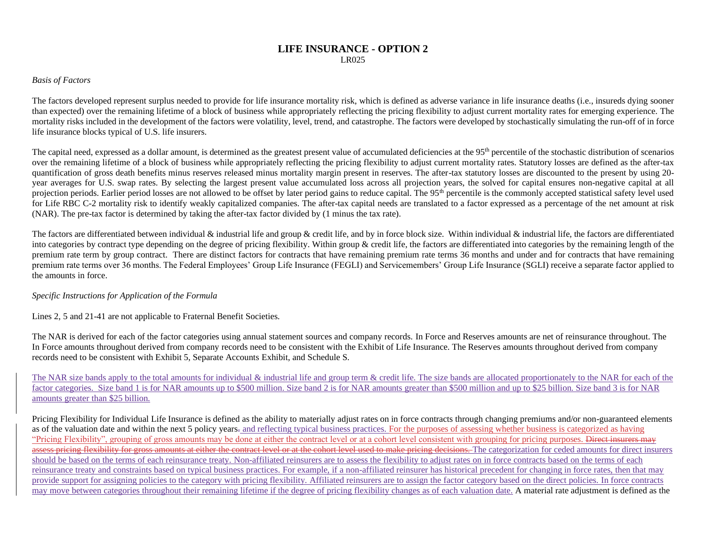## **LIFE INSURANCE - OPTION 2** LR025

## *Basis of Factors*

The factors developed represent surplus needed to provide for life insurance mortality risk, which is defined as adverse variance in life insurance deaths (i.e., insureds dying sooner than expected) over the remaining lifetime of a block of business while appropriately reflecting the pricing flexibility to adjust current mortality rates for emerging experience. The mortality risks included in the development of the factors were volatility, level, trend, and catastrophe. The factors were developed by stochastically simulating the run-off of in force life insurance blocks typical of U.S. life insurers.

The capital need, expressed as a dollar amount, is determined as the greatest present value of accumulated deficiencies at the 95<sup>th</sup> percentile of the stochastic distribution of scenarios over the remaining lifetime of a block of business while appropriately reflecting the pricing flexibility to adjust current mortality rates. Statutory losses are defined as the after-tax quantification of gross death benefits minus reserves released minus mortality margin present in reserves. The after-tax statutory losses are discounted to the present by using 20 year averages for U.S. swap rates. By selecting the largest present value accumulated loss across all projection years, the solved for capital ensures non-negative capital at all projection periods. Earlier period losses are not allowed to be offset by later period gains to reduce capital. The 95<sup>th</sup> percentile is the commonly accepted statistical safety level used for Life RBC C-2 mortality risk to identify weakly capitalized companies. The after-tax capital needs are translated to a factor expressed as a percentage of the net amount at risk (NAR). The pre-tax factor is determined by taking the after-tax factor divided by (1 minus the tax rate).

The factors are differentiated between individual  $\&$  industrial life and group  $\&$  credit life, and by in force block size. Within individual  $\&$  industrial life, the factors are differentiated into categories by contract type depending on the degree of pricing flexibility. Within group & credit life, the factors are differentiated into categories by the remaining length of the premium rate term by group contract. There are distinct factors for contracts that have remaining premium rate terms 36 months and under and for contracts that have remaining premium rate terms over 36 months. The Federal Employees' Group Life Insurance (FEGLI) and Servicemembers' Group Life Insurance (SGLI) receive a separate factor applied to the amounts in force.

## *Specific Instructions for Application of the Formula*

Lines 2, 5 and 21-41 are not applicable to Fraternal Benefit Societies.

The NAR is derived for each of the factor categories using annual statement sources and company records. In Force and Reserves amounts are net of reinsurance throughout. The In Force amounts throughout derived from company records need to be consistent with the Exhibit of Life Insurance. The Reserves amounts throughout derived from company records need to be consistent with Exhibit 5, Separate Accounts Exhibit, and Schedule S.

The NAR size bands apply to the total amounts for individual  $\&$  industrial life and group term  $\&$  credit life. The size bands are allocated proportionately to the NAR for each of the factor categories. Size band 1 is for NAR amounts up to \$500 million. Size band 2 is for NAR amounts greater than \$500 million and up to \$25 billion. Size band 3 is for NAR amounts greater than \$25 billion.

Pricing Flexibility for Individual Life Insurance is defined as the ability to materially adjust rates on in force contracts through changing premiums and/or non-guaranteed elements as of the valuation date and within the next 5 policy years- and reflecting typical business practices. For the purposes of assessing whether business is categorized as having "Pricing Flexibility", grouping of gross amounts may be done at either the contract level or at a cohort level consistent with grouping for pricing purposes. Direct insurers may assess pricing flexibility for gross amounts at either the contract level or at the cohort level used to make pricing decisions. The categorization for ceded amounts for direct insurers should be based on the terms of each reinsurance treaty. Non-affiliated reinsurers are to assess the flexibility to adjust rates on in force contracts based on the terms of each reinsurance treaty and constraints based on typical business practices. For example, if a non-affiliated reinsurer has historical precedent for changing in force rates, then that may provide support for assigning policies to the category with pricing flexibility. Affiliated reinsurers are to assign the factor category based on the direct policies. In force contracts may move between categories throughout their remaining lifetime if the degree of pricing flexibility changes as of each valuation date. A material rate adjustment is defined as the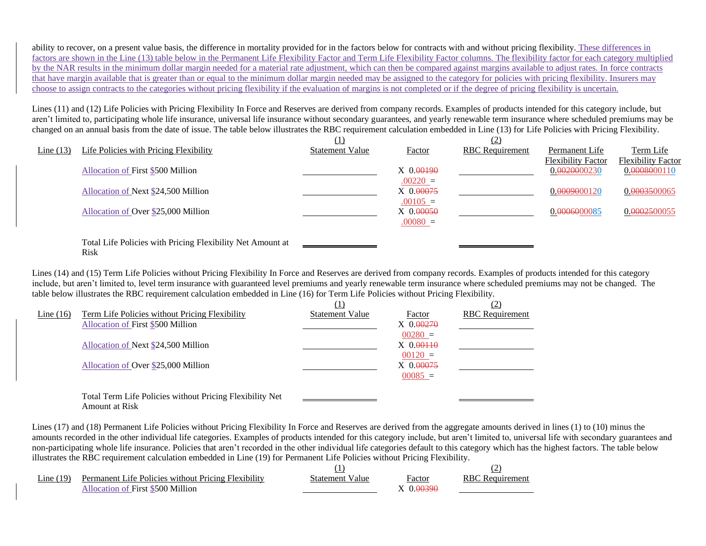ability to recover, on a present value basis, the difference in mortality provided for in the factors below for contracts with and without pricing flexibility. These differences in factors are shown in the Line (13) table below in the Permanent Life Flexibility Factor and Term Life Flexibility Factor columns. The flexibility factor for each category multiplied by the NAR results in the minimum dollar margin needed for a material rate adjustment, which can then be compared against margins available to adjust rates. In force contracts that have margin available that is greater than or equal to the minimum dollar margin needed may be assigned to the category for policies with pricing flexibility. Insurers may choose to assign contracts to the categories without pricing flexibility if the evaluation of margins is not completed or if the degree of pricing flexibility is uncertain.

Lines (11) and (12) Life Policies with Pricing Flexibility In Force and Reserves are derived from company records. Examples of products intended for this category include, but aren't limited to, participating whole life insurance, universal life insurance without secondary guarantees, and yearly renewable term insurance where scheduled premiums may be changed on an annual basis from the date of issue. The table below illustrates the RBC requirement calculation embedded in Line (13) for Life Policies with Pricing Flexibility.

|          |                                                            | $\left( 1\right)$      |             |                        |                           |                           |
|----------|------------------------------------------------------------|------------------------|-------------|------------------------|---------------------------|---------------------------|
| Line(13) | Life Policies with Pricing Flexibility                     | <b>Statement Value</b> | Factor      | <b>RBC</b> Requirement | Permanent Life            | Term Life                 |
|          |                                                            |                        |             |                        | <b>Flexibility Factor</b> | <b>Flexibility Factor</b> |
|          | Allocation of First \$500 Million                          |                        | $X$ 0.00190 |                        | 0.0020000230              | 0.0008000110              |
|          |                                                            |                        | $.00220 =$  |                        |                           |                           |
|          | Allocation of Next \$24,500 Million                        |                        | $X$ 0.00075 |                        | 0. <del>00090</del> 00120 | 0.0003500065              |
|          |                                                            |                        | $.00105 =$  |                        |                           |                           |
|          | Allocation of Over \$25,000 Million                        |                        | $X$ 0.00050 |                        | 0.0006000085              | 0.0002500055              |
|          |                                                            |                        | $.00080 =$  |                        |                           |                           |
|          | Total Life Policies with Pricing Flexibility Net Amount at |                        |             |                        |                           |                           |
|          | <b>Risk</b>                                                |                        |             |                        |                           |                           |

Lines (14) and (15) Term Life Policies without Pricing Flexibility In Force and Reserves are derived from company records. Examples of products intended for this category include, but aren't limited to, level term insurance with guaranteed level premiums and yearly renewable term insurance where scheduled premiums may not be changed. The table below illustrates the RBC requirement calculation embedded in Line (16) for Term Life Policies without Pricing Flexibility.

|             |                                                          | (1)                    |               | (2)                    |
|-------------|----------------------------------------------------------|------------------------|---------------|------------------------|
| Line $(16)$ | <b>Term Life Policies without Pricing Flexibility</b>    | <b>Statement Value</b> | Factor        | <b>RBC</b> Requirement |
|             | Allocation of First \$500 Million                        |                        | $X_0.00270$   |                        |
|             |                                                          |                        | $00280 =$     |                        |
|             | Allocation of Next \$24,500 Million                      |                        | $X_0,0.00110$ |                        |
|             |                                                          |                        | $00120 =$     |                        |
|             | Allocation of Over \$25,000 Million                      |                        | $X$ 0.00075   |                        |
|             |                                                          |                        | $00085 =$     |                        |
|             |                                                          |                        |               |                        |
|             | Total Term Life Policies without Pricing Flexibility Net |                        |               |                        |
|             | Amount at Risk                                           |                        |               |                        |

Lines (17) and (18) Permanent Life Policies without Pricing Flexibility In Force and Reserves are derived from the aggregate amounts derived in lines (1) to (10) minus the amounts recorded in the other individual life categories. Examples of products intended for this category include, but aren't limited to, universal life with secondary guarantees and non-participating whole life insurance. Policies that aren't recorded in the other individual life categories default to this category which has the highest factors. The table below illustrates the RBC requirement calculation embedded in Line (19) for Permanent Life Policies without Pricing Flexibility.

| Line $(19)$ | Permanent Life Policies without Pricing Flexibility | Statement Value | Factor  | <b>RBC</b> Requirement |
|-------------|-----------------------------------------------------|-----------------|---------|------------------------|
|             | Allocation of First \$500 Million                   |                 | 0.00390 |                        |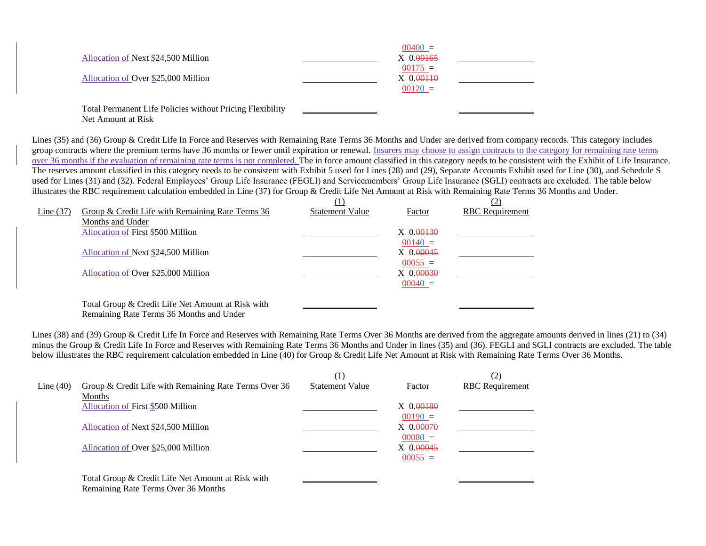|                                                           | $00400 =$     |  |
|-----------------------------------------------------------|---------------|--|
| Allocation of Next \$24,500 Million                       | $X$ 0.00165   |  |
|                                                           | $00175 =$     |  |
| Allocation of Over \$25,000 Million                       | $X_0,0.00110$ |  |
|                                                           | $00120 =$     |  |
|                                                           |               |  |
| Total Permanent Life Policies without Pricing Flexibility |               |  |

Net Amount at Risk

Lines (35) and (36) Group & Credit Life In Force and Reserves with Remaining Rate Terms 36 Months and Under are derived from company records. This category includes group contracts where the premium terms have 36 months or fewer until expiration or renewal. Insurers may choose to assign contracts to the category for remaining rate terms over 36 months if the evaluation of remaining rate terms is not completed. The in force amount classified in this category needs to be consistent with the Exhibit of Life Insurance. The reserves amount classified in this category needs to be consistent with Exhibit 5 used for Lines (28) and (29), Separate Accounts Exhibit used for Line (30), and Schedule S used for Lines (31) and (32). Federal Employees' Group Life Insurance (FEGLI) and Servicemembers' Group Life Insurance (SGLI) contracts are excluded. The table below illustrates the RBC requirement calculation embedded in Line (37) for Group & Credit Life Net Amount at Risk with Remaining Rate Terms 36 Months and Under.

|             |                                                   |                        |                | (2)                    |
|-------------|---------------------------------------------------|------------------------|----------------|------------------------|
| Line $(37)$ | Group & Credit Life with Remaining Rate Terms 36  | <b>Statement Value</b> | Factor         | <b>RBC</b> Requirement |
|             | Months and Under                                  |                        |                |                        |
|             | Allocation of First \$500 Million                 |                        | $X \, 0.00130$ |                        |
|             |                                                   |                        | $00140 =$      |                        |
|             | Allocation of Next \$24,500 Million               |                        | $X$ 0.00045    |                        |
|             |                                                   |                        | $00055 =$      |                        |
|             | Allocation of Over \$25,000 Million               |                        | $X \, 0.00030$ |                        |
|             |                                                   |                        | $00040 =$      |                        |
|             | Total Group & Credit Life Net Amount at Risk with |                        |                |                        |
|             |                                                   |                        |                |                        |
|             | Remaining Rate Terms 36 Months and Under          |                        |                |                        |

Lines (38) and (39) Group & Credit Life In Force and Reserves with Remaining Rate Terms Over 36 Months are derived from the aggregate amounts derived in lines (21) to (34) minus the Group & Credit Life In Force and Reserves with Remaining Rate Terms 36 Months and Under in lines (35) and (36). FEGLI and SGLI contracts are excluded. The table below illustrates the RBC requirement calculation embedded in Line (40) for Group & Credit Life Net Amount at Risk with Remaining Rate Terms Over 36 Months.

|             |                                                       | $\left(1\right)$       |             | (2)                    |
|-------------|-------------------------------------------------------|------------------------|-------------|------------------------|
| Line $(40)$ | Group & Credit Life with Remaining Rate Terms Over 36 | <b>Statement Value</b> | Factor      | <b>RBC</b> Requirement |
|             | Months                                                |                        |             |                        |
|             | Allocation of First \$500 Million                     |                        | $X$ 0.00180 |                        |
|             |                                                       |                        | $00190 =$   |                        |
|             | Allocation of Next \$24,500 Million                   |                        | $X_0.00070$ |                        |
|             |                                                       |                        | $00080 =$   |                        |
|             | Allocation of Over \$25,000 Million                   |                        | $X_0.00045$ |                        |
|             |                                                       |                        | $00055 =$   |                        |
|             |                                                       |                        |             |                        |
|             | Total Group & Credit Life Net Amount at Risk with     |                        |             |                        |
|             | Remaining Rate Terms Over 36 Months                   |                        |             |                        |